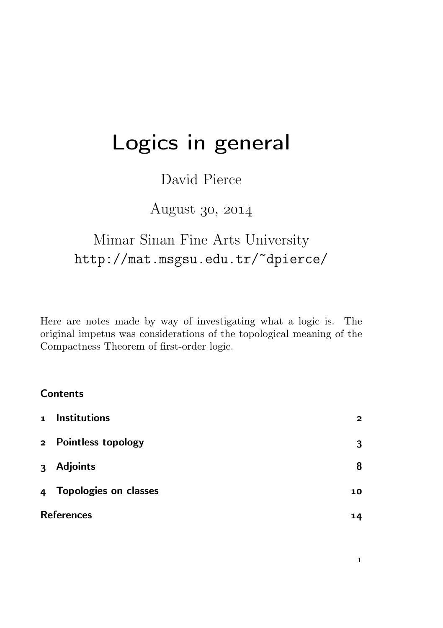# Logics in general

### David Pierce

### August 30, 2014

## Mimar Sinan Fine Arts University http://mat.msgsu.edu.tr/~dpierce/

Here are notes made by way of investigating what a logic is. The original impetus was considerations of the topological meaning of the Compactness Theorem of first-order logic.

#### **Contents**

|                   | 1 Institutions          | $\mathbf{z}$ |
|-------------------|-------------------------|--------------|
|                   | 2 Pointless topology    | 3            |
| 3 <sup>1</sup>    | Adjoints                | 8            |
|                   | 4 Topologies on classes | 10           |
| <b>References</b> |                         | 14           |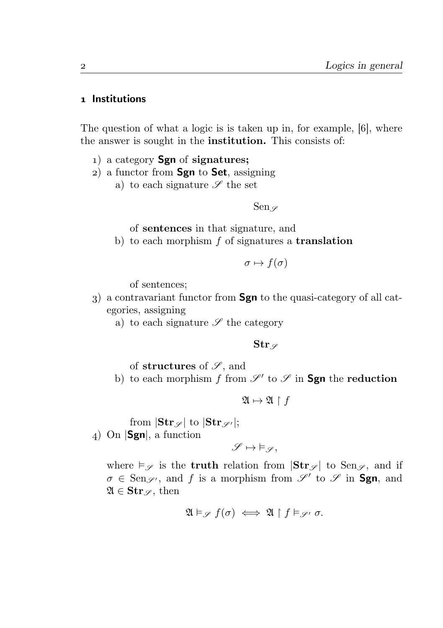#### 1 Institutions

The question of what a logic is is taken up in, for example,  $[6]$ , where the answer is sought in the institution. This consists of:

- 1) a category **Sgn** of **signatures**;
- $(a)$  a functor from **Sgn** to **Set**, assigning
	- a) to each signature  $\mathscr S$  the set

Sen  $\varphi$ 

of sentences in that signature, and

b) to each morphism  $f$  of signatures a **translation** 

$$
\sigma \mapsto f(\sigma)
$$

of sentences;

- ) a contravariant functor from Sgn to the quasi-category of all categories, assigning
	- a) to each signature  $\mathscr S$  the category

#### $Str \, \varphi$

of structures of  $\mathscr{S}$ , and

b) to each morphism f from  $\mathscr{S}'$  to  $\mathscr{S}$  in **Sgn** the reduction

 $\mathfrak{A} \mapsto \mathfrak{A} \upharpoonright f$ 

from  $|\text{Str}_{\mathscr{S}}|$  to  $|\text{Str}_{\mathscr{S}'}|$ ;

4) On  $|\text{Sgn}|$ , a function

$$
\mathscr{S}\mapsto \vDash_{\mathscr{S}},
$$

where  $\vDash_{\mathscr{S}}$  is the **truth** relation from  $|\textbf{Str}_{\mathscr{S}}|$  to Sen $_{\mathscr{S}}$ , and if  $\sigma \in \text{Sen}_{\mathscr{S}}$ , and f is a morphism from  $\mathscr{S}'$  to  $\mathscr{S}$  in **Sgn**, and  $\mathfrak{A} \in \mathbf{Str}_{\mathscr{S}}$ , then

$$
\mathfrak{A}\vDash_{\mathscr{S}} f(\sigma) \iff \mathfrak{A}\upharpoonright f \vDash_{\mathscr{S}'} \sigma.
$$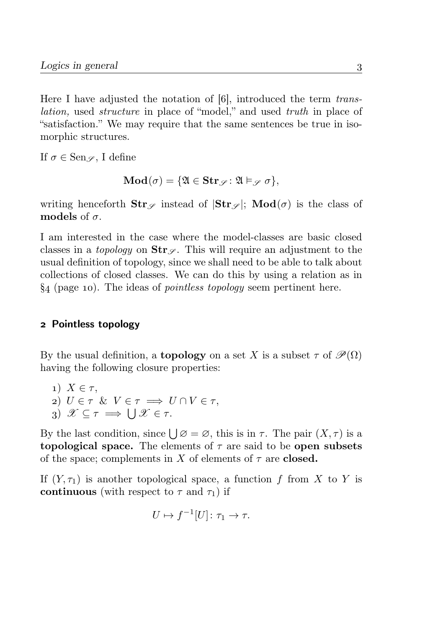Here I have adjusted the notation of  $[6]$ , introduced the term translation, used structure in place of "model," and used truth in place of "satisfaction." We may require that the same sentences be true in isomorphic structures.

If  $\sigma \in \text{Sen}_{\mathscr{S}}$ , I define

$$
\mathbf{Mod}(\sigma) = \{ \mathfrak{A} \in \mathbf{Str}_{\mathscr{S}} \colon \mathfrak{A} \vDash_{\mathscr{S}} \sigma \},
$$

writing henceforth  $\text{Str}_{\mathscr{S}}$  instead of  $|\text{Str}_{\mathscr{S}}|$ ;  $\text{Mod}(\sigma)$  is the class of models of  $\sigma$ 

I am interested in the case where the model-classes are basic closed classes in a *topology* on  $\text{Str}_{\mathscr{S}}$ . This will require an adjustment to the usual definition of topology, since we shall need to be able to talk about collections of closed classes. We can do this by using a relation as in  $\S_4$  (page 10). The ideas of *pointless topology* seem pertinent here.

#### Pointless topology

By the usual definition, a **topology** on a set X is a subset  $\tau$  of  $\mathscr{P}(\Omega)$ having the following closure properties:

1) 
$$
X \in \tau
$$
,  
\n2)  $U \in \tau$  &  $V \in \tau \implies U \cap V \in \tau$ ,  
\n3)  $\mathscr{X} \subseteq \tau \implies \bigcup \mathscr{X} \in \tau$ .

By the last condition, since  $\bigcup \varnothing = \varnothing$ , this is in  $\tau$ . The pair  $(X, \tau)$  is a topological space. The elements of  $\tau$  are said to be open subsets of the space; complements in X of elements of  $\tau$  are **closed.** 

If  $(Y, \tau_1)$  is another topological space, a function f from X to Y is continuous (with respect to  $\tau$  and  $\tau_1$ ) if

$$
U \mapsto f^{-1}[U] \colon \tau_1 \to \tau.
$$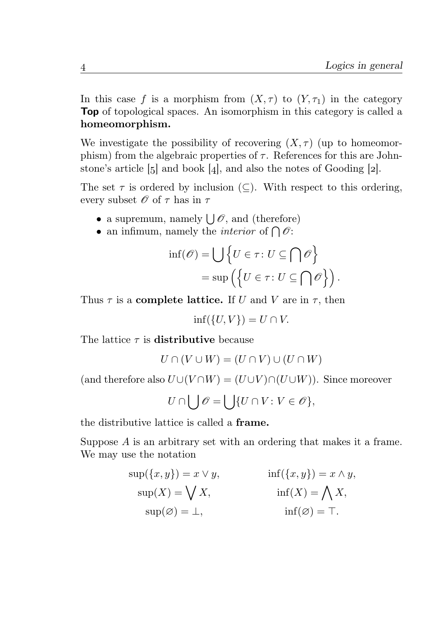In this case f is a morphism from  $(X, \tau)$  to  $(Y, \tau_1)$  in the category Top of topological spaces. An isomorphism in this category is called a homeomorphism.

We investigate the possibility of recovering  $(X, \tau)$  (up to homeomorphism) from the algebraic properties of  $\tau$ . References for this are Johnstone's article  $\lbrack 5 \rbrack$  and book  $\lbrack 4 \rbrack$ , and also the notes of Gooding  $\lbrack 2 \rbrack$ .

The set  $\tau$  is ordered by inclusion (⊂). With respect to this ordering, every subset  $\mathcal O$  of  $\tau$  has in  $\tau$ 

- a supremum, namely  $\bigcup \mathscr{O}$ , and (therefore)
- an infimum, namely the *interior* of  $\bigcap \mathscr{O}$ :

$$
\text{inf}(\mathscr{O}) = \bigcup \{ U \in \tau \colon U \subseteq \bigcap \mathscr{O} \} \n= \sup \left( \{ U \in \tau \colon U \subseteq \bigcap \mathscr{O} \} \right).
$$

Thus  $\tau$  is a **complete lattice.** If U and V are in  $\tau$ , then

 $\inf({U, V}) = U \cap V.$ 

The lattice  $\tau$  is **distributive** because

$$
U \cap (V \cup W) = (U \cap V) \cup (U \cap W)
$$

(and therefore also  $U\cup (V\cap W)=(U\cup V)\cap (U\cup W)$ ). Since moreover

$$
U\cap\bigcup\mathscr{O}=\bigcup\{U\cap V\colon V\in\mathscr{O}\},
$$

the distributive lattice is called a frame.

Suppose A is an arbitrary set with an ordering that makes it a frame. We may use the notation

$$
sup({x, y}) = x \vee y, \qquad inf({x, y}) = x \wedge y, \nsup(X) = \bigvee X, \qquad inf(X) = \bigwedge X, \nsup(\emptyset) = \bot, \qquad inf(\emptyset) = \top.
$$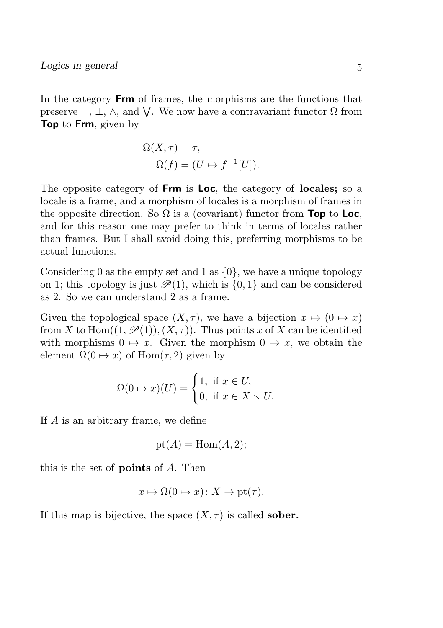In the category Frm of frames, the morphisms are the functions that preserve  $\top$ ,  $\bot$ ,  $\wedge$ , and  $\bigvee$ . We now have a contravariant functor  $\Omega$  from Top to Frm, given by

$$
\Omega(X, \tau) = \tau,
$$
  

$$
\Omega(f) = (U \mapsto f^{-1}[U]).
$$

The opposite category of **Frm** is **Loc**, the category of **locales**; so a locale is a frame, and a morphism of locales is a morphism of frames in the opposite direction. So  $\Omega$  is a (covariant) functor from **Top** to **Loc**, and for this reason one may prefer to think in terms of locales rather than frames. But I shall avoid doing this, preferring morphisms to be actual functions.

Considering 0 as the empty set and 1 as  $\{0\}$ , we have a unique topology on 1; this topology is just  $\mathcal{P}(1)$ , which is  $\{0, 1\}$  and can be considered as 2. So we can understand 2 as a frame.

Given the topological space  $(X, \tau)$ , we have a bijection  $x \mapsto (0 \mapsto x)$ from X to Hom $((1,\mathscr{P}(1)),(X,\tau))$ . Thus points x of X can be identified with morphisms  $0 \mapsto x$ . Given the morphism  $0 \mapsto x$ , we obtain the element  $\Omega(0 \mapsto x)$  of Hom $(\tau, 2)$  given by

$$
\Omega(0 \to x)(U) = \begin{cases} 1, & \text{if } x \in U, \\ 0, & \text{if } x \in X \setminus U. \end{cases}
$$

If A is an arbitrary frame, we define

$$
pt(A) = Hom(A, 2);
$$

this is the set of points of A. Then

$$
x \mapsto \Omega(0 \mapsto x) \colon X \to \text{pt}(\tau).
$$

If this map is bijective, the space  $(X, \tau)$  is called **sober.**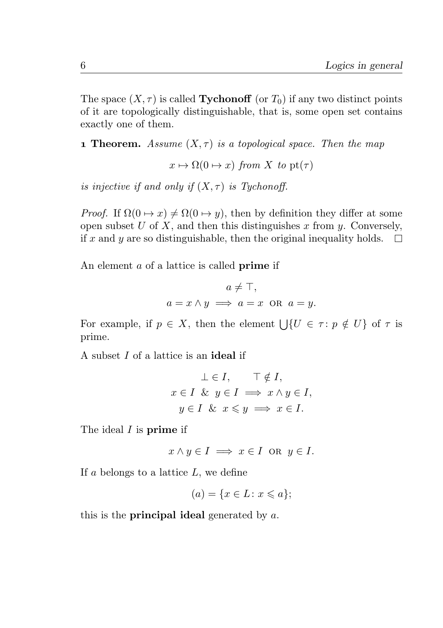The space  $(X, \tau)$  is called **Tychonoff** (or  $T_0$ ) if any two distinct points of it are topologically distinguishable, that is, some open set contains exactly one of them.

**1 Theorem.** Assume  $(X, \tau)$  is a topological space. Then the map

 $x \mapsto \Omega(0 \mapsto x)$  from X to pt( $\tau$ )

is injective if and only if  $(X, \tau)$  is Tychonoff.

*Proof.* If  $\Omega(0 \to x) \neq \Omega(0 \to y)$ , then by definition they differ at some open subset U of X, and then this distinguishes x from  $y$ . Conversely, if x and y are so distinguishable, then the original inequality holds.  $\Box$ 

An element a of a lattice is called prime if

$$
a \neq \top,
$$
  

$$
a = x \land y \implies a = x \text{ OR } a = y.
$$

For example, if  $p \in X$ , then the element  $\bigcup \{U \in \tau : p \notin U\}$  of  $\tau$  is prime.

A subset I of a lattice is an ideal if

$$
\bot \in I, \quad \top \notin I,
$$
  

$$
x \in I \& y \in I \implies x \land y \in I,
$$
  

$$
y \in I \& x \leq y \implies x \in I.
$$

The ideal I is **prime** if

$$
x \wedge y \in I \implies x \in I \text{ or } y \in I.
$$

If a belongs to a lattice  $L$ , we define

$$
(a) = \{x \in L \colon x \leqslant a\};
$$

this is the **principal ideal** generated by  $a$ .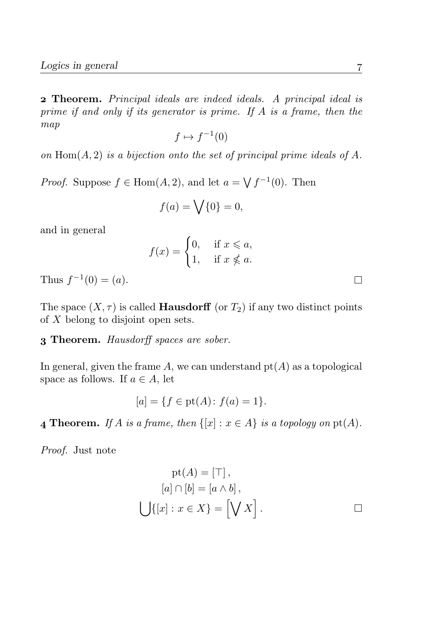Theorem. Principal ideals are indeed ideals. A principal ideal is prime if and only if its generator is prime. If A is a frame, then the map

$$
f \mapsto f^{-1}(0)
$$

on  $\text{Hom}(A, 2)$  is a bijection onto the set of principal prime ideals of A.

*Proof.* Suppose  $f \in \text{Hom}(A, 2)$ , and let  $a = \sqrt{f^{-1}(0)}$ . Then

$$
f(a) = \bigvee \{0\} = 0,
$$

and in general

$$
f(x) = \begin{cases} 0, & \text{if } x \leq a, \\ 1, & \text{if } x \not\leq a. \end{cases}
$$

Thus  $f^{-1}(0) = (a)$ .

The space  $(X, \tau)$  is called **Hausdorff** (or  $T_2$ ) if any two distinct points of X belong to disjoint open sets.

#### **3 Theorem.** Hausdorff spaces are sober.

In general, given the frame A, we can understand  $pt(A)$  as a topological space as follows. If  $a \in A$ , let

$$
[a] = \{ f \in \text{pt}(A) : f(a) = 1 \}.
$$

**4 Theorem.** If A is a frame, then  $\{[x] : x \in A\}$  is a topology on pt(A).

Proof. Just note

$$
pt(A) = [\top],
$$
  
\n
$$
[a] \cap [b] = [a \wedge b],
$$
  
\n
$$
\bigcup \{ [x] : x \in X \} = [\bigvee X].
$$

 $\Box$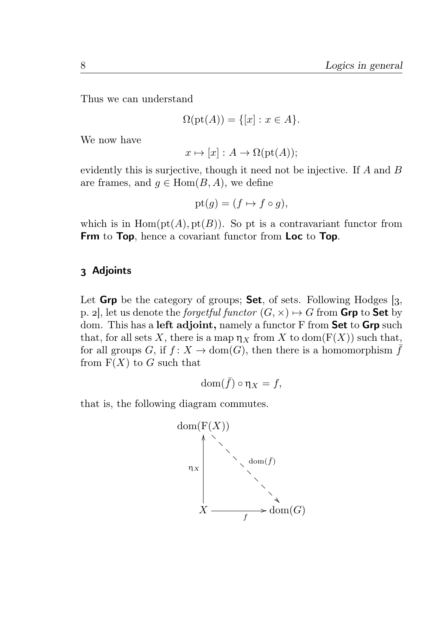Thus we can understand

$$
\Omega(\text{pt}(A)) = \{ [x] : x \in A \}.
$$

We now have

$$
x \mapsto [x] : A \to \Omega(pt(A));
$$

evidently this is surjective, though it need not be injective. If A and B are frames, and  $q \in \text{Hom}(B, A)$ , we define

$$
pt(g) = (f \mapsto f \circ g),
$$

which is in  $Hom(pt(A), pt(B))$ . So pt is a contravariant functor from Frm to Top, hence a covariant functor from Loc to Top.

#### 3 Adjoints

Let Grp be the category of groups; Set, of sets. Following Hodges  $[3, 1]$ p. 2. let us denote the *forgetful functor*  $(G, \times) \rightarrow G$  from **Grp** to **Set** by dom. This has a **left adjoint**, namely a functor F from **Set** to **Grp** such that, for all sets X, there is a map  $\eta_X$  from X to dom( $F(X)$ ) such that, for all groups G, if  $f: X \to \text{dom}(G)$ , then there is a homomorphism  $\bar{f}$ from  $F(X)$  to G such that

$$
\mathrm{dom}(\bar{f})\circ \eta_X=f,
$$

that is, the following diagram commutes.

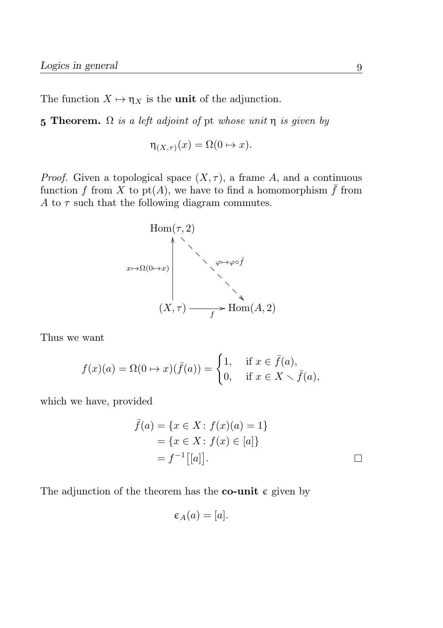The function  $X \mapsto \eta_X$  is the unit of the adjunction.

5 Theorem.  $\Omega$  is a left adjoint of pt whose unit  $\eta$  is given by

$$
\eta_{(X,\tau)}(x) = \Omega(0 \mapsto x).
$$

*Proof.* Given a topological space  $(X, \tau)$ , a frame A, and a continuous function f from X to pt(A), we have to find a homomorphism  $\bar{f}$  from A to  $\tau$  such that the following diagram commutes.



Thus we want

$$
f(x)(a) = \Omega(0 \to x)(\bar{f}(a)) = \begin{cases} 1, & \text{if } x \in \bar{f}(a), \\ 0, & \text{if } x \in X \setminus \bar{f}(a), \end{cases}
$$

which we have, provided

$$
\bar{f}(a) = \{x \in X : f(x)(a) = 1\} \\
= \{x \in X : f(x) \in [a]\} \\
= f^{-1}[[a]].
$$

The adjunction of the theorem has the **co-unit**  $\epsilon$  given by

$$
\varepsilon_A(a) = [a].
$$

 $\Box$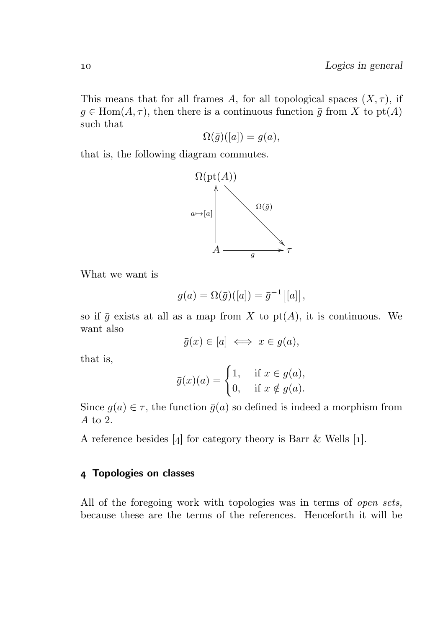This means that for all frames A, for all topological spaces  $(X, \tau)$ , if  $g \in \text{Hom}(A, \tau)$ , then there is a continuous function  $\bar{g}$  from X to pt(A) such that

$$
\Omega(\bar{g})([a]) = g(a),
$$

that is, the following diagram commutes.



What we want is

$$
g(a) = \Omega(\bar{g})([a]) = \bar{g}^{-1}[[a]],
$$

so if  $\bar{g}$  exists at all as a map from X to pt(A), it is continuous. We want also

$$
\bar{g}(x) \in [a] \iff x \in g(a),
$$

that is,

$$
\bar{g}(x)(a) = \begin{cases} 1, & \text{if } x \in g(a), \\ 0, & \text{if } x \notin g(a). \end{cases}
$$

Since  $g(a) \in \tau$ , the function  $\bar{g}(a)$  so defined is indeed a morphism from A to 2.

A reference besides  $[4]$  for category theory is Barr & Wells  $[1]$ .

#### Topologies on classes

All of the foregoing work with topologies was in terms of *open sets*, because these are the terms of the references. Henceforth it will be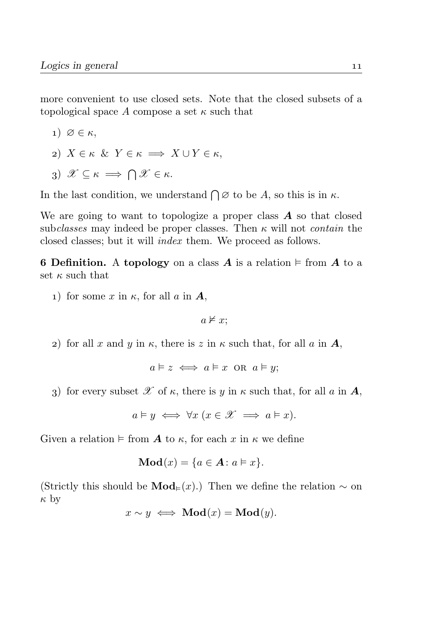more convenient to use closed sets. Note that the closed subsets of a topological space A compose a set  $\kappa$  such that

$$
1) \, \varnothing \in \kappa,
$$

- 2)  $X \in \kappa \& Y \in \kappa \implies X \cup Y \in \kappa$ ,
- 3)  $\mathscr{X} \subseteq \kappa \implies \bigcap \mathscr{X} \in \kappa$ .

In the last condition, we understand  $\bigcap \emptyset$  to be A, so this is in  $\kappa$ .

We are going to want to topologize a proper class  $A$  so that closed subclasses may indeed be proper classes. Then  $\kappa$  will not contain the closed classes; but it will index them. We proceed as follows.

6 Definition. A topology on a class A is a relation  $\models$  from A to a set  $\kappa$  such that

1) for some x in  $\kappa$ , for all a in  $\mathbf{A}$ ,

 $a \not\models x$ :

2) for all x and y in  $\kappa$ , there is z in  $\kappa$  such that, for all a in A,

$$
a \vDash z \iff a \vDash x \text{ OR } a \vDash y;
$$

3) for every subset  $\mathscr X$  of  $\kappa$ , there is  $\psi$  in  $\kappa$  such that, for all  $a$  in  $A$ ,

$$
a \vDash y \iff \forall x \ (x \in \mathcal{X} \implies a \vDash x).
$$

Given a relation  $\models$  from **A** to  $\kappa$ , for each x in  $\kappa$  we define

$$
\mathbf{Mod}(x) = \{a \in \mathbf{A} \colon a \vDash x\}.
$$

(Strictly this should be  $\text{Mod}_{\text{F}}(x)$ .) Then we define the relation ~ on  $\kappa$  by

$$
x \sim y \iff \text{Mod}(x) = \text{Mod}(y).
$$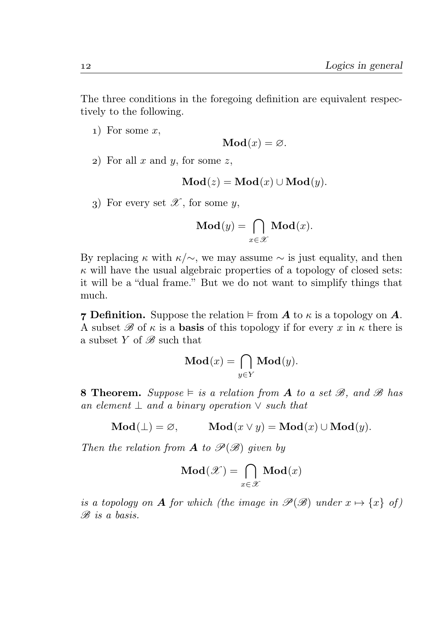The three conditions in the foregoing definition are equivalent respectively to the following.

 $1)$  For some x,

$$
\mathbf{Mod}(x) = \varnothing.
$$

2) For all  $x$  and  $y$ , for some  $z$ ,

$$
Mod(z) = Mod(x) \cup Mod(y).
$$

3) For every set  $\mathscr{X}$ , for some y,

$$
\mathbf{Mod}(y) = \bigcap_{x \in \mathcal{X}} \mathbf{Mod}(x).
$$

By replacing  $\kappa$  with  $\kappa/\sim$ , we may assume  $\sim$  is just equality, and then  $\kappa$  will have the usual algebraic properties of a topology of closed sets: it will be a "dual frame." But we do not want to simplify things that much.

**7 Definition.** Suppose the relation  $\models$  from A to  $\kappa$  is a topology on A. A subset  $\mathscr B$  of  $\kappa$  is a **basis** of this topology if for every x in  $\kappa$  there is a subset Y of  $\mathscr{B}$  such that

$$
\mathbf{Mod}(x) = \bigcap_{y \in Y} \mathbf{Mod}(y).
$$

**8 Theorem.** Suppose  $\models$  is a relation from **A** to a set  $\mathcal{B}$ , and  $\mathcal{B}$  has an element  $\perp$  and a binary operation  $\vee$  such that

$$
Mod(\bot) = \varnothing, \qquad Mod(x \vee y) = Mod(x) \cup Mod(y).
$$

Then the relation from **A** to  $\mathscr{P}(\mathscr{B})$  given by

$$
\mathbf{Mod}(\mathscr{X}) = \bigcap_{x \in \mathscr{X}} \mathbf{Mod}(x)
$$

is a topology on **A** for which (the image in  $\mathcal{P}(\mathcal{B})$  under  $x \mapsto \{x\}$  of) B is a basis.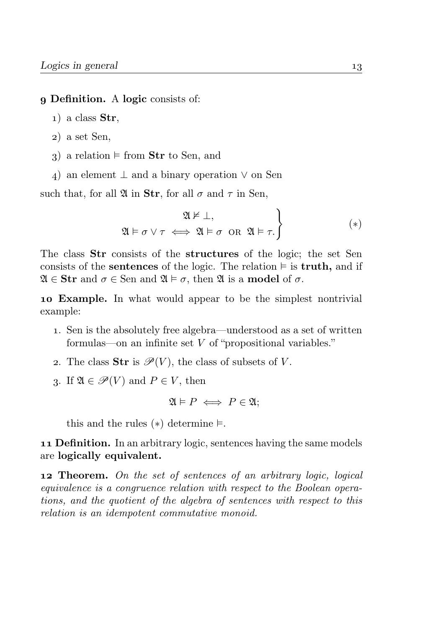#### Definition. A logic consists of:

- $_1$ ) a class Str.
- ) a set Sen,
- 3) a relation  $\models$  from Str to Sen, and
- 4) an element  $\perp$  and a binary operation  $\vee$  on Sen

such that, for all  $\mathfrak{A}$  in Str, for all  $\sigma$  and  $\tau$  in Sen,

$$
\mathfrak{A} \models \sigma \lor \tau \iff \mathfrak{A} \models \sigma \text{ or } \mathfrak{A} \models \tau.
$$
\n
$$
\tag{*}
$$

The class Str consists of the structures of the logic; the set Sen consists of the **sentences** of the logic. The relation  $\models$  is **truth**, and if  $\mathfrak{A} \in \mathbf{Str}$  and  $\sigma \in \mathbf{Sen}$  and  $\mathfrak{A} \models \sigma$ , then  $\mathfrak{A}$  is a **model** of  $\sigma$ .

 Example. In what would appear to be the simplest nontrivial example:

- . Sen is the absolutely free algebra—understood as a set of written formulas—on an infinite set V of "propositional variables."
- 2. The class **Str** is  $\mathscr{P}(V)$ , the class of subsets of V.
- 3. If  $\mathfrak{A} \in \mathscr{P}(V)$  and  $P \in V$ , then

$$
\mathfrak{A} \models P \iff P \in \mathfrak{A};
$$

this and the rules  $(*)$  determine  $\models$ .

**11 Definition.** In an arbitrary logic, sentences having the same models are logically equivalent.

12 Theorem. On the set of sentences of an arbitrary logic, logical equivalence is a congruence relation with respect to the Boolean operations, and the quotient of the algebra of sentences with respect to this relation is an idempotent commutative monoid.